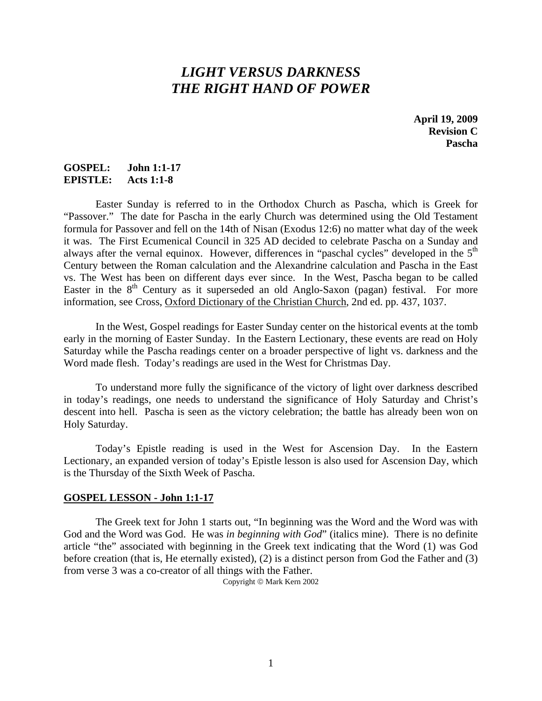# *LIGHT VERSUS DARKNESS THE RIGHT HAND OF POWER*

**April 19, 2009 Revision C Pascha** 

## **GOSPEL: John 1:1-17 EPISTLE: Acts 1:1-8**

Easter Sunday is referred to in the Orthodox Church as Pascha, which is Greek for "Passover." The date for Pascha in the early Church was determined using the Old Testament formula for Passover and fell on the 14th of Nisan (Exodus 12:6) no matter what day of the week it was. The First Ecumenical Council in 325 AD decided to celebrate Pascha on a Sunday and always after the vernal equinox. However, differences in "paschal cycles" developed in the 5<sup>th</sup> Century between the Roman calculation and the Alexandrine calculation and Pascha in the East vs. The West has been on different days ever since. In the West, Pascha began to be called Easter in the  $8<sup>th</sup>$  Century as it superseded an old Anglo-Saxon (pagan) festival. For more information, see Cross, Oxford Dictionary of the Christian Church, 2nd ed. pp. 437, 1037.

 In the West, Gospel readings for Easter Sunday center on the historical events at the tomb early in the morning of Easter Sunday. In the Eastern Lectionary, these events are read on Holy Saturday while the Pascha readings center on a broader perspective of light vs. darkness and the Word made flesh. Today's readings are used in the West for Christmas Day.

 To understand more fully the significance of the victory of light over darkness described in today's readings, one needs to understand the significance of Holy Saturday and Christ's descent into hell. Pascha is seen as the victory celebration; the battle has already been won on Holy Saturday.

 Today's Epistle reading is used in the West for Ascension Day. In the Eastern Lectionary, an expanded version of today's Epistle lesson is also used for Ascension Day, which is the Thursday of the Sixth Week of Pascha.

### **GOSPEL LESSON - John 1:1-17**

 The Greek text for John 1 starts out, "In beginning was the Word and the Word was with God and the Word was God. He was *in beginning with God*" (italics mine). There is no definite article "the" associated with beginning in the Greek text indicating that the Word (1) was God before creation (that is, He eternally existed), (2) is a distinct person from God the Father and (3) from verse 3 was a co-creator of all things with the Father.

Copyright © Mark Kern 2002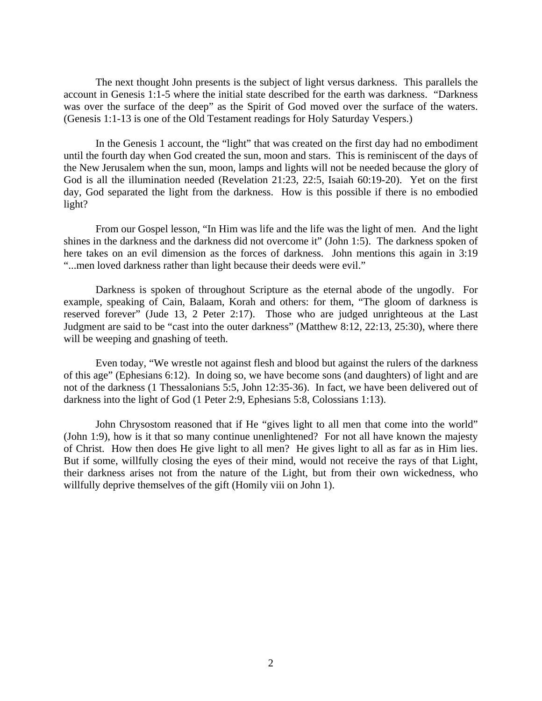The next thought John presents is the subject of light versus darkness. This parallels the account in Genesis 1:1-5 where the initial state described for the earth was darkness. "Darkness was over the surface of the deep" as the Spirit of God moved over the surface of the waters. (Genesis 1:1-13 is one of the Old Testament readings for Holy Saturday Vespers.)

 In the Genesis 1 account, the "light" that was created on the first day had no embodiment until the fourth day when God created the sun, moon and stars. This is reminiscent of the days of the New Jerusalem when the sun, moon, lamps and lights will not be needed because the glory of God is all the illumination needed (Revelation 21:23, 22:5, Isaiah 60:19-20). Yet on the first day, God separated the light from the darkness. How is this possible if there is no embodied light?

 From our Gospel lesson, "In Him was life and the life was the light of men. And the light shines in the darkness and the darkness did not overcome it" (John 1:5). The darkness spoken of here takes on an evil dimension as the forces of darkness. John mentions this again in 3:19 "...men loved darkness rather than light because their deeds were evil."

 Darkness is spoken of throughout Scripture as the eternal abode of the ungodly. For example, speaking of Cain, Balaam, Korah and others: for them, "The gloom of darkness is reserved forever" (Jude 13, 2 Peter 2:17). Those who are judged unrighteous at the Last Judgment are said to be "cast into the outer darkness" (Matthew 8:12, 22:13, 25:30), where there will be weeping and gnashing of teeth.

 Even today, "We wrestle not against flesh and blood but against the rulers of the darkness of this age" (Ephesians 6:12). In doing so, we have become sons (and daughters) of light and are not of the darkness (1 Thessalonians 5:5, John 12:35-36). In fact, we have been delivered out of darkness into the light of God (1 Peter 2:9, Ephesians 5:8, Colossians 1:13).

 John Chrysostom reasoned that if He "gives light to all men that come into the world" (John 1:9), how is it that so many continue unenlightened? For not all have known the majesty of Christ. How then does He give light to all men? He gives light to all as far as in Him lies. But if some, willfully closing the eyes of their mind, would not receive the rays of that Light, their darkness arises not from the nature of the Light, but from their own wickedness, who willfully deprive themselves of the gift (Homily viii on John 1).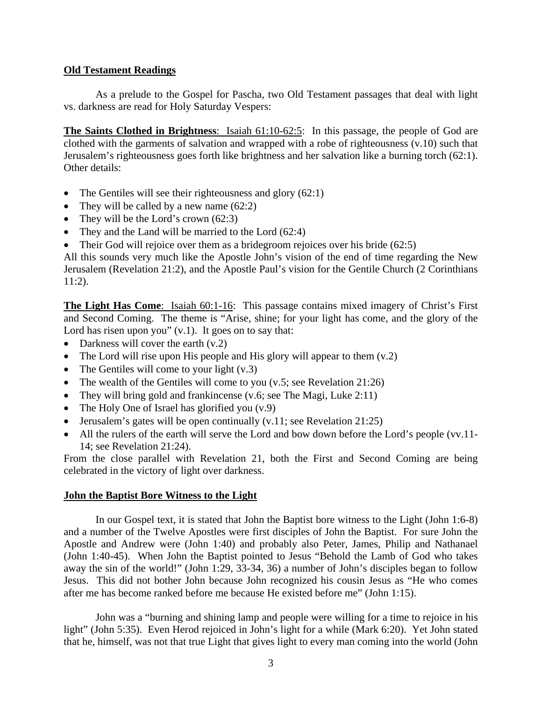### **Old Testament Readings**

 As a prelude to the Gospel for Pascha, two Old Testament passages that deal with light vs. darkness are read for Holy Saturday Vespers:

**The Saints Clothed in Brightness**: Isaiah 61:10-62:5: In this passage, the people of God are clothed with the garments of salvation and wrapped with a robe of righteousness (v.10) such that Jerusalem's righteousness goes forth like brightness and her salvation like a burning torch (62:1). Other details:

- The Gentiles will see their righteousness and glory (62:1)
- They will be called by a new name  $(62:2)$
- They will be the Lord's crown  $(62:3)$
- They and the Land will be married to the Lord (62:4)
- Their God will rejoice over them as a bridegroom rejoices over his bride  $(62.5)$

All this sounds very much like the Apostle John's vision of the end of time regarding the New Jerusalem (Revelation 21:2), and the Apostle Paul's vision for the Gentile Church (2 Corinthians 11:2).

**The Light Has Come**: Isaiah 60:1-16: This passage contains mixed imagery of Christ's First and Second Coming. The theme is "Arise, shine; for your light has come, and the glory of the Lord has risen upon you"  $(v.1)$ . It goes on to say that:

- Darkness will cover the earth  $(v.2)$
- The Lord will rise upon His people and His glory will appear to them  $(v.2)$
- The Gentiles will come to your light  $(v.3)$
- The wealth of the Gentiles will come to you (v.5; see Revelation 21:26)
- They will bring gold and frankincense (v.6; see The Magi, Luke 2:11)
- The Holy One of Israel has glorified you  $(v.9)$
- Jerusalem's gates will be open continually (v.11; see Revelation 21:25)
- All the rulers of the earth will serve the Lord and bow down before the Lord's people (vv.11-14; see Revelation 21:24).

From the close parallel with Revelation 21, both the First and Second Coming are being celebrated in the victory of light over darkness.

### **John the Baptist Bore Witness to the Light**

 In our Gospel text, it is stated that John the Baptist bore witness to the Light (John 1:6-8) and a number of the Twelve Apostles were first disciples of John the Baptist. For sure John the Apostle and Andrew were (John 1:40) and probably also Peter, James, Philip and Nathanael (John 1:40-45). When John the Baptist pointed to Jesus "Behold the Lamb of God who takes away the sin of the world!" (John 1:29, 33-34, 36) a number of John's disciples began to follow Jesus. This did not bother John because John recognized his cousin Jesus as "He who comes after me has become ranked before me because He existed before me" (John 1:15).

 John was a "burning and shining lamp and people were willing for a time to rejoice in his light" (John 5:35). Even Herod rejoiced in John's light for a while (Mark 6:20). Yet John stated that he, himself, was not that true Light that gives light to every man coming into the world (John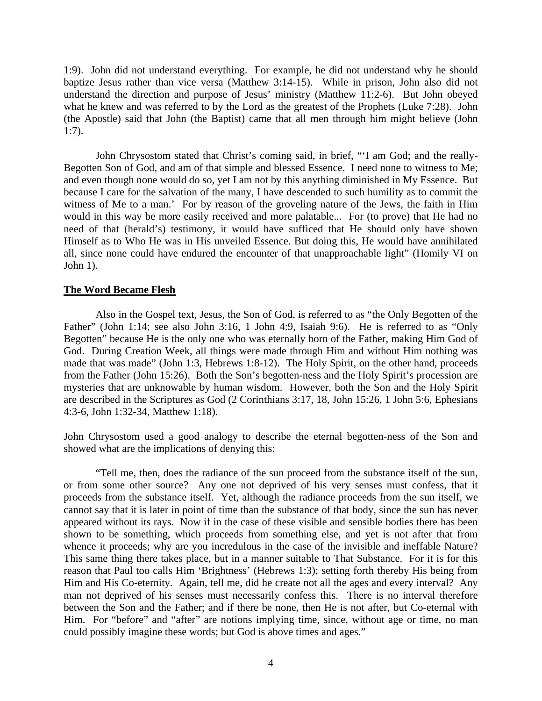1:9). John did not understand everything. For example, he did not understand why he should baptize Jesus rather than vice versa (Matthew 3:14-15). While in prison, John also did not understand the direction and purpose of Jesus' ministry (Matthew 11:2-6). But John obeyed what he knew and was referred to by the Lord as the greatest of the Prophets (Luke 7:28). John (the Apostle) said that John (the Baptist) came that all men through him might believe (John 1:7).

 John Chrysostom stated that Christ's coming said, in brief, "'I am God; and the really-Begotten Son of God, and am of that simple and blessed Essence. I need none to witness to Me; and even though none would do so, yet I am not by this anything diminished in My Essence. But because I care for the salvation of the many, I have descended to such humility as to commit the witness of Me to a man.' For by reason of the groveling nature of the Jews, the faith in Him would in this way be more easily received and more palatable... For (to prove) that He had no need of that (herald's) testimony, it would have sufficed that He should only have shown Himself as to Who He was in His unveiled Essence. But doing this, He would have annihilated all, since none could have endured the encounter of that unapproachable light" (Homily VI on John 1).

### **The Word Became Flesh**

 Also in the Gospel text, Jesus, the Son of God, is referred to as "the Only Begotten of the Father" (John 1:14; see also John 3:16, 1 John 4:9, Isaiah 9:6). He is referred to as "Only Begotten" because He is the only one who was eternally born of the Father, making Him God of God. During Creation Week, all things were made through Him and without Him nothing was made that was made" (John 1:3, Hebrews 1:8-12). The Holy Spirit, on the other hand, proceeds from the Father (John 15:26). Both the Son's begotten-ness and the Holy Spirit's procession are mysteries that are unknowable by human wisdom. However, both the Son and the Holy Spirit are described in the Scriptures as God (2 Corinthians 3:17, 18, John 15:26, 1 John 5:6, Ephesians 4:3-6, John 1:32-34, Matthew 1:18).

John Chrysostom used a good analogy to describe the eternal begotten-ness of the Son and showed what are the implications of denying this:

 "Tell me, then, does the radiance of the sun proceed from the substance itself of the sun, or from some other source? Any one not deprived of his very senses must confess, that it proceeds from the substance itself. Yet, although the radiance proceeds from the sun itself, we cannot say that it is later in point of time than the substance of that body, since the sun has never appeared without its rays. Now if in the case of these visible and sensible bodies there has been shown to be something, which proceeds from something else, and yet is not after that from whence it proceeds; why are you incredulous in the case of the invisible and ineffable Nature? This same thing there takes place, but in a manner suitable to That Substance. For it is for this reason that Paul too calls Him 'Brightness' (Hebrews 1:3); setting forth thereby His being from Him and His Co-eternity. Again, tell me, did he create not all the ages and every interval? Any man not deprived of his senses must necessarily confess this. There is no interval therefore between the Son and the Father; and if there be none, then He is not after, but Co-eternal with Him. For "before" and "after" are notions implying time, since, without age or time, no man could possibly imagine these words; but God is above times and ages."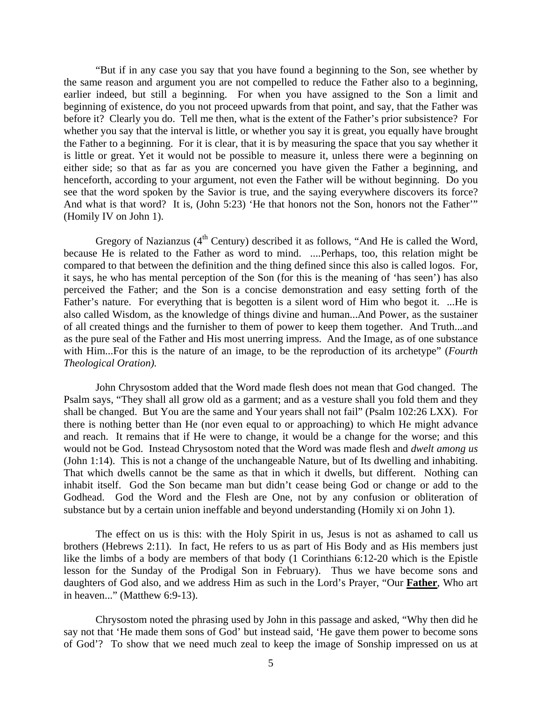"But if in any case you say that you have found a beginning to the Son, see whether by the same reason and argument you are not compelled to reduce the Father also to a beginning, earlier indeed, but still a beginning. For when you have assigned to the Son a limit and beginning of existence, do you not proceed upwards from that point, and say, that the Father was before it? Clearly you do. Tell me then, what is the extent of the Father's prior subsistence? For whether you say that the interval is little, or whether you say it is great, you equally have brought the Father to a beginning. For it is clear, that it is by measuring the space that you say whether it is little or great. Yet it would not be possible to measure it, unless there were a beginning on either side; so that as far as you are concerned you have given the Father a beginning, and henceforth, according to your argument, not even the Father will be without beginning. Do you see that the word spoken by the Savior is true, and the saying everywhere discovers its force? And what is that word? It is, (John 5:23) 'He that honors not the Son, honors not the Father'" (Homily IV on John 1).

Gregory of Nazianzus ( $4<sup>th</sup>$  Century) described it as follows, "And He is called the Word, because He is related to the Father as word to mind. ....Perhaps, too, this relation might be compared to that between the definition and the thing defined since this also is called logos. For, it says, he who has mental perception of the Son (for this is the meaning of 'has seen') has also perceived the Father; and the Son is a concise demonstration and easy setting forth of the Father's nature. For everything that is begotten is a silent word of Him who begot it. ...He is also called Wisdom, as the knowledge of things divine and human...And Power, as the sustainer of all created things and the furnisher to them of power to keep them together. And Truth...and as the pure seal of the Father and His most unerring impress. And the Image, as of one substance with Him...For this is the nature of an image, to be the reproduction of its archetype" (*Fourth Theological Oration).*

 John Chrysostom added that the Word made flesh does not mean that God changed. The Psalm says, "They shall all grow old as a garment; and as a vesture shall you fold them and they shall be changed. But You are the same and Your years shall not fail" (Psalm 102:26 LXX). For there is nothing better than He (nor even equal to or approaching) to which He might advance and reach. It remains that if He were to change, it would be a change for the worse; and this would not be God. Instead Chrysostom noted that the Word was made flesh and *dwelt among us* (John 1:14). This is not a change of the unchangeable Nature, but of Its dwelling and inhabiting. That which dwells cannot be the same as that in which it dwells, but different. Nothing can inhabit itself. God the Son became man but didn't cease being God or change or add to the Godhead. God the Word and the Flesh are One, not by any confusion or obliteration of substance but by a certain union ineffable and beyond understanding (Homily xi on John 1).

 The effect on us is this: with the Holy Spirit in us, Jesus is not as ashamed to call us brothers (Hebrews 2:11). In fact, He refers to us as part of His Body and as His members just like the limbs of a body are members of that body (1 Corinthians 6:12-20 which is the Epistle lesson for the Sunday of the Prodigal Son in February). Thus we have become sons and daughters of God also, and we address Him as such in the Lord's Prayer, "Our **Father**, Who art in heaven..." (Matthew 6:9-13).

 Chrysostom noted the phrasing used by John in this passage and asked, "Why then did he say not that 'He made them sons of God' but instead said, 'He gave them power to become sons of God'? To show that we need much zeal to keep the image of Sonship impressed on us at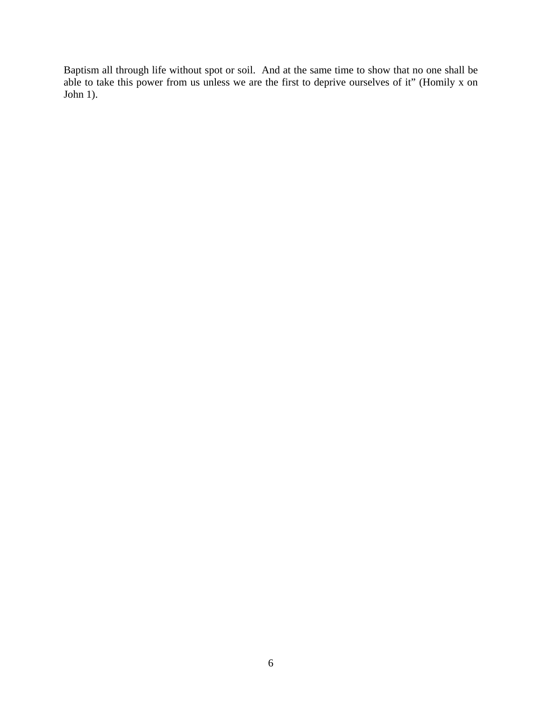Baptism all through life without spot or soil. And at the same time to show that no one shall be able to take this power from us unless we are the first to deprive ourselves of it" (Homily x on John 1).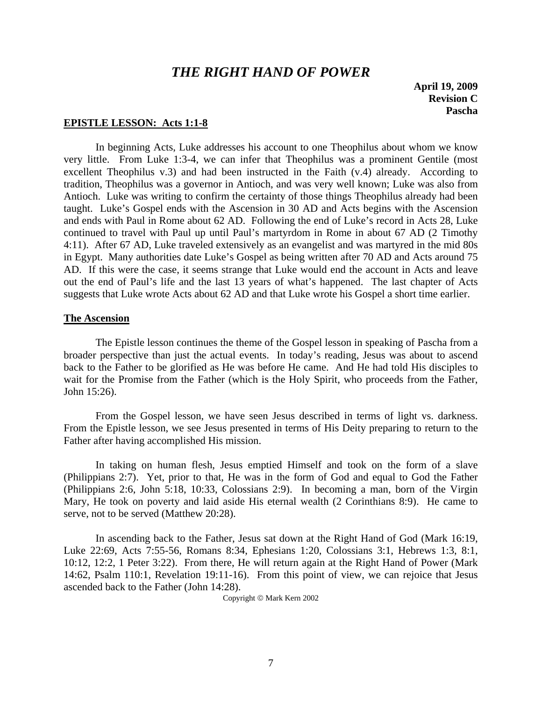## *THE RIGHT HAND OF POWER*

**April 19, 2009 Revision C Pascha** 

### **EPISTLE LESSON: Acts 1:1-8**

 In beginning Acts, Luke addresses his account to one Theophilus about whom we know very little. From Luke 1:3-4, we can infer that Theophilus was a prominent Gentile (most excellent Theophilus v.3) and had been instructed in the Faith (v.4) already. According to tradition, Theophilus was a governor in Antioch, and was very well known; Luke was also from Antioch. Luke was writing to confirm the certainty of those things Theophilus already had been taught. Luke's Gospel ends with the Ascension in 30 AD and Acts begins with the Ascension and ends with Paul in Rome about 62 AD. Following the end of Luke's record in Acts 28, Luke continued to travel with Paul up until Paul's martyrdom in Rome in about 67 AD (2 Timothy 4:11). After 67 AD, Luke traveled extensively as an evangelist and was martyred in the mid 80s in Egypt. Many authorities date Luke's Gospel as being written after 70 AD and Acts around 75 AD. If this were the case, it seems strange that Luke would end the account in Acts and leave out the end of Paul's life and the last 13 years of what's happened. The last chapter of Acts suggests that Luke wrote Acts about 62 AD and that Luke wrote his Gospel a short time earlier.

### **The Ascension**

 The Epistle lesson continues the theme of the Gospel lesson in speaking of Pascha from a broader perspective than just the actual events. In today's reading, Jesus was about to ascend back to the Father to be glorified as He was before He came. And He had told His disciples to wait for the Promise from the Father (which is the Holy Spirit, who proceeds from the Father, John 15:26).

 From the Gospel lesson, we have seen Jesus described in terms of light vs. darkness. From the Epistle lesson, we see Jesus presented in terms of His Deity preparing to return to the Father after having accomplished His mission.

 In taking on human flesh, Jesus emptied Himself and took on the form of a slave (Philippians 2:7). Yet, prior to that, He was in the form of God and equal to God the Father (Philippians 2:6, John 5:18, 10:33, Colossians 2:9). In becoming a man, born of the Virgin Mary, He took on poverty and laid aside His eternal wealth (2 Corinthians 8:9). He came to serve, not to be served (Matthew 20:28).

 In ascending back to the Father, Jesus sat down at the Right Hand of God (Mark 16:19, Luke 22:69, Acts 7:55-56, Romans 8:34, Ephesians 1:20, Colossians 3:1, Hebrews 1:3, 8:1, 10:12, 12:2, 1 Peter 3:22). From there, He will return again at the Right Hand of Power (Mark 14:62, Psalm 110:1, Revelation 19:11-16). From this point of view, we can rejoice that Jesus ascended back to the Father (John 14:28).

Copyright © Mark Kern 2002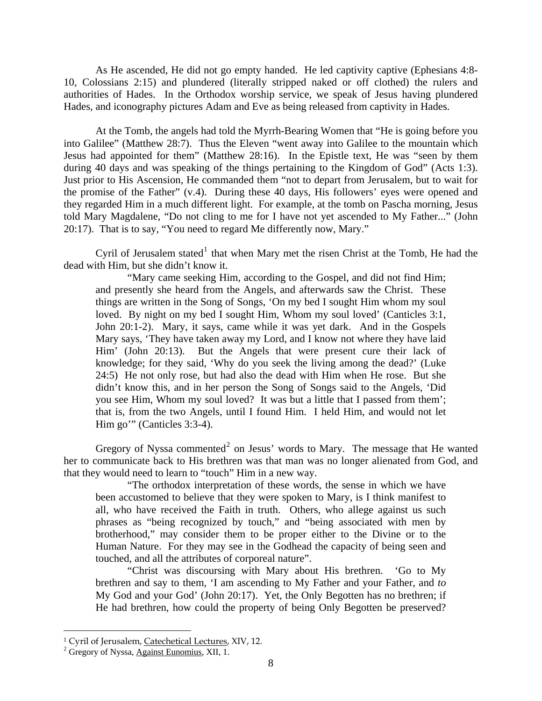As He ascended, He did not go empty handed. He led captivity captive (Ephesians 4:8- 10, Colossians 2:15) and plundered (literally stripped naked or off clothed) the rulers and authorities of Hades. In the Orthodox worship service, we speak of Jesus having plundered Hades, and iconography pictures Adam and Eve as being released from captivity in Hades.

 At the Tomb, the angels had told the Myrrh-Bearing Women that "He is going before you into Galilee" (Matthew 28:7). Thus the Eleven "went away into Galilee to the mountain which Jesus had appointed for them" (Matthew 28:16). In the Epistle text, He was "seen by them during 40 days and was speaking of the things pertaining to the Kingdom of God" (Acts 1:3). Just prior to His Ascension, He commanded them "not to depart from Jerusalem, but to wait for the promise of the Father" (v.4). During these 40 days, His followers' eyes were opened and they regarded Him in a much different light. For example, at the tomb on Pascha morning, Jesus told Mary Magdalene, "Do not cling to me for I have not yet ascended to My Father..." (John 20:17). That is to say, "You need to regard Me differently now, Mary."

Cyril of Jerusalem stated<sup>[1](#page-7-0)</sup> that when Mary met the risen Christ at the Tomb, He had the dead with Him, but she didn't know it.

"Mary came seeking Him, according to the Gospel, and did not find Him; and presently she heard from the Angels, and afterwards saw the Christ. These things are written in the Song of Songs, 'On my bed I sought Him whom my soul loved. By night on my bed I sought Him, Whom my soul loved' (Canticles 3:1, John 20:1-2). Mary, it says, came while it was yet dark. And in the Gospels Mary says, 'They have taken away my Lord, and I know not where they have laid Him' (John 20:13). But the Angels that were present cure their lack of knowledge; for they said, 'Why do you seek the living among the dead?' (Luke 24:5) He not only rose, but had also the dead with Him when He rose. But she didn't know this, and in her person the Song of Songs said to the Angels, 'Did you see Him, Whom my soul loved? It was but a little that I passed from them'; that is, from the two Angels, until I found Him. I held Him, and would not let Him go'" (Canticles 3:3-4).

Gregory of Nyssa commented<sup>[2](#page-7-1)</sup> on Jesus' words to Mary. The message that He wanted her to communicate back to His brethren was that man was no longer alienated from God, and that they would need to learn to "touch" Him in a new way.

"The orthodox interpretation of these words, the sense in which we have been accustomed to believe that they were spoken to Mary, is I think manifest to all, who have received the Faith in truth. Others, who allege against us such phrases as "being recognized by touch," and "being associated with men by brotherhood," may consider them to be proper either to the Divine or to the Human Nature. For they may see in the Godhead the capacity of being seen and touched, and all the attributes of corporeal nature".

"Christ was discoursing with Mary about His brethren. 'Go to My brethren and say to them, 'I am ascending to My Father and your Father, and *to* My God and your God' (John 20:17). Yet, the Only Begotten has no brethren; if He had brethren, how could the property of being Only Begotten be preserved?

 $\overline{a}$ 

<span id="page-7-0"></span><sup>&</sup>lt;sup>1</sup> Cyril of Jerusalem, Catechetical Lectures, XIV, 12.

<span id="page-7-1"></span> $\frac{2}{3}$  Gregory of Nyssa, Against Eunomius, XII, 1.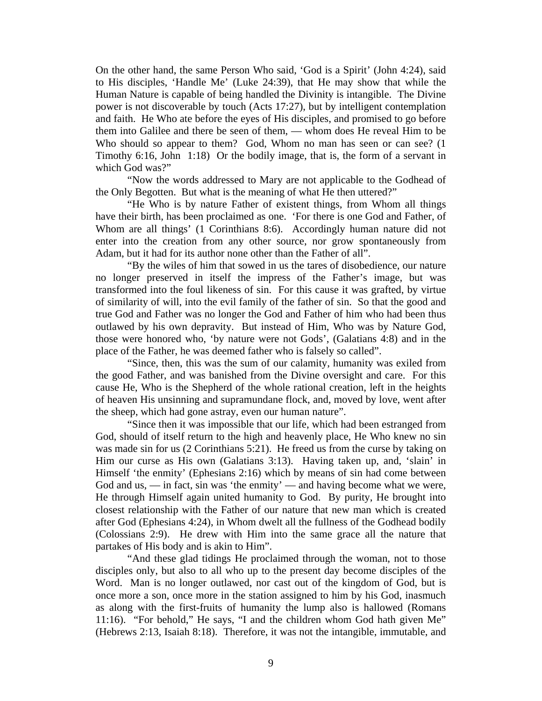On the other hand, the same Person Who said, 'God is a Spirit' (John 4:24), said to His disciples, 'Handle Me' (Luke 24:39), that He may show that while the Human Nature is capable of being handled the Divinity is intangible. The Divine power is not discoverable by touch (Acts 17:27), but by intelligent contemplation and faith. He Who ate before the eyes of His disciples, and promised to go before them into Galilee and there be seen of them, — whom does He reveal Him to be Who should so appear to them? God, Whom no man has seen or can see? (1) Timothy 6:16, John 1:18) Or the bodily image, that is, the form of a servant in which God was?"

"Now the words addressed to Mary are not applicable to the Godhead of the Only Begotten. But what is the meaning of what He then uttered?"

"He Who is by nature Father of existent things, from Whom all things have their birth, has been proclaimed as one. 'For there is one God and Father, of Whom are all things' (1 Corinthians 8:6). Accordingly human nature did not enter into the creation from any other source, nor grow spontaneously from Adam, but it had for its author none other than the Father of all".

"By the wiles of him that sowed in us the tares of disobedience, our nature no longer preserved in itself the impress of the Father's image, but was transformed into the foul likeness of sin. For this cause it was grafted, by virtue of similarity of will, into the evil family of the father of sin. So that the good and true God and Father was no longer the God and Father of him who had been thus outlawed by his own depravity. But instead of Him, Who was by Nature God, those were honored who, 'by nature were not Gods', (Galatians 4:8) and in the place of the Father, he was deemed father who is falsely so called".

"Since, then, this was the sum of our calamity, humanity was exiled from the good Father, and was banished from the Divine oversight and care. For this cause He, Who is the Shepherd of the whole rational creation, left in the heights of heaven His unsinning and supramundane flock, and, moved by love, went after the sheep, which had gone astray, even our human nature".

"Since then it was impossible that our life, which had been estranged from God, should of itself return to the high and heavenly place, He Who knew no sin was made sin for us (2 Corinthians 5:21). He freed us from the curse by taking on Him our curse as His own (Galatians 3:13). Having taken up, and, 'slain' in Himself 'the enmity' (Ephesians 2:16) which by means of sin had come between God and us, — in fact, sin was 'the enmity' — and having become what we were, He through Himself again united humanity to God. By purity, He brought into closest relationship with the Father of our nature that new man which is created after God (Ephesians 4:24), in Whom dwelt all the fullness of the Godhead bodily (Colossians 2:9). He drew with Him into the same grace all the nature that partakes of His body and is akin to Him".

"And these glad tidings He proclaimed through the woman, not to those disciples only, but also to all who up to the present day become disciples of the Word. Man is no longer outlawed, nor cast out of the kingdom of God, but is once more a son, once more in the station assigned to him by his God, inasmuch as along with the first-fruits of humanity the lump also is hallowed (Romans 11:16). "For behold," He says, "I and the children whom God hath given Me" (Hebrews 2:13, Isaiah 8:18). Therefore, it was not the intangible, immutable, and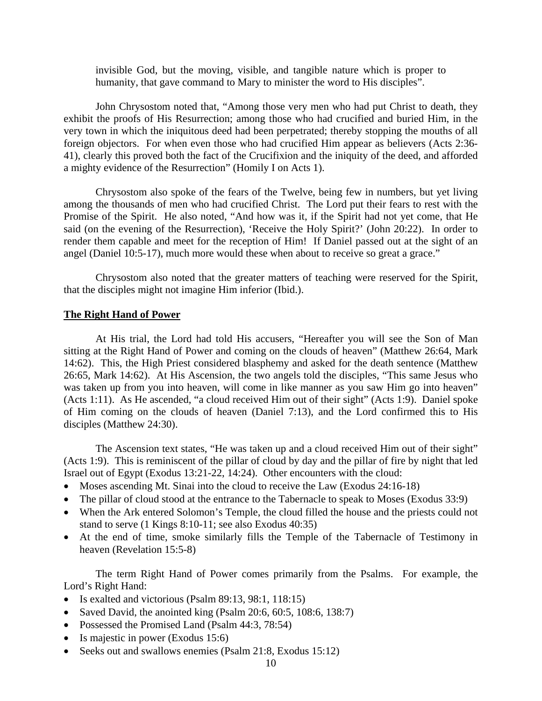invisible God, but the moving, visible, and tangible nature which is proper to humanity, that gave command to Mary to minister the word to His disciples".

 John Chrysostom noted that, "Among those very men who had put Christ to death, they exhibit the proofs of His Resurrection; among those who had crucified and buried Him, in the very town in which the iniquitous deed had been perpetrated; thereby stopping the mouths of all foreign objectors. For when even those who had crucified Him appear as believers (Acts 2:36- 41), clearly this proved both the fact of the Crucifixion and the iniquity of the deed, and afforded a mighty evidence of the Resurrection" (Homily I on Acts 1).

 Chrysostom also spoke of the fears of the Twelve, being few in numbers, but yet living among the thousands of men who had crucified Christ. The Lord put their fears to rest with the Promise of the Spirit. He also noted, "And how was it, if the Spirit had not yet come, that He said (on the evening of the Resurrection), 'Receive the Holy Spirit?' (John 20:22). In order to render them capable and meet for the reception of Him! If Daniel passed out at the sight of an angel (Daniel 10:5-17), much more would these when about to receive so great a grace."

 Chrysostom also noted that the greater matters of teaching were reserved for the Spirit, that the disciples might not imagine Him inferior (Ibid.).

#### **The Right Hand of Power**

 At His trial, the Lord had told His accusers, "Hereafter you will see the Son of Man sitting at the Right Hand of Power and coming on the clouds of heaven" (Matthew 26:64, Mark 14:62). This, the High Priest considered blasphemy and asked for the death sentence (Matthew 26:65, Mark 14:62). At His Ascension, the two angels told the disciples, "This same Jesus who was taken up from you into heaven, will come in like manner as you saw Him go into heaven" (Acts 1:11). As He ascended, "a cloud received Him out of their sight" (Acts 1:9). Daniel spoke of Him coming on the clouds of heaven (Daniel 7:13), and the Lord confirmed this to His disciples (Matthew 24:30).

 The Ascension text states, "He was taken up and a cloud received Him out of their sight" (Acts 1:9). This is reminiscent of the pillar of cloud by day and the pillar of fire by night that led Israel out of Egypt (Exodus 13:21-22, 14:24). Other encounters with the cloud:

- Moses ascending Mt. Sinai into the cloud to receive the Law (Exodus 24:16-18)
- The pillar of cloud stood at the entrance to the Tabernacle to speak to Moses (Exodus 33:9)
- When the Ark entered Solomon's Temple, the cloud filled the house and the priests could not stand to serve (1 Kings 8:10-11; see also Exodus 40:35)
- At the end of time, smoke similarly fills the Temple of the Tabernacle of Testimony in heaven (Revelation 15:5-8)

 The term Right Hand of Power comes primarily from the Psalms. For example, the Lord's Right Hand:

- Is exalted and victorious (Psalm 89:13, 98:1, 118:15)
- Saved David, the anointed king (Psalm  $20:6, 60:5, 108:6, 138:7$ )
- Possessed the Promised Land (Psalm 44:3, 78:54)
- Is majestic in power (Exodus 15:6)
- Seeks out and swallows enemies (Psalm 21:8, Exodus 15:12)